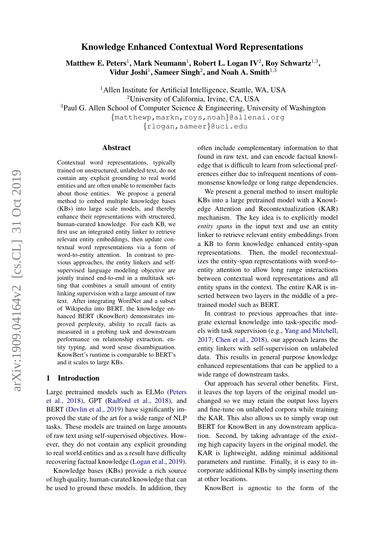# Knowledge Enhanced Contextual Word Representations

 $\mathbf{M}$ atthew E. Peters $^1$ , Mark Neumann $^1$ , Robert L. Logan IV $^2$ , Roy Schwartz $^{1,3},$ Vidur Joshi<sup>1</sup>, Sameer Singh<sup>2</sup>, and Noah A. Smith<sup>1,3</sup>

<sup>1</sup>Allen Institute for Artificial Intelligence, Seattle, WA, USA <sup>2</sup>University of California, Irvine, CA, USA

<sup>3</sup>Paul G. Allen School of Computer Science & Engineering, University of Washington

{[matthewp,](mailto:matthewp@allenai.org)[markn,](mailto:markn@allenai.org)[roys,](mailto:roys@allenai.org)[noah](mailto:noah@allenai.org)}@allenai.org

{[rlogan,](mailto:rlogan@uci.edu)[sameer](mailto:sameer@uci.edu)}@uci.edu

### Abstract

Contextual word representations, typically trained on unstructured, unlabeled text, do not contain any explicit grounding to real world entities and are often unable to remember facts about those entities. We propose a general method to embed multiple knowledge bases (KBs) into large scale models, and thereby enhance their representations with structured, human-curated knowledge. For each KB, we first use an integrated entity linker to retrieve relevant entity embeddings, then update contextual word representations via a form of word-to-entity attention. In contrast to previous approaches, the entity linkers and selfsupervised language modeling objective are jointly trained end-to-end in a multitask setting that combines a small amount of entity linking supervision with a large amount of raw text. After integrating WordNet and a subset of Wikipedia into BERT, the knowledge enhanced BERT (KnowBert) demonstrates improved perplexity, ability to recall facts as measured in a probing task and downstream performance on relationship extraction, entity typing, and word sense disambiguation. KnowBert's runtime is comparable to BERT's and it scales to large KBs.

#### 1 Introduction

Large pretrained models such as ELMo [\(Peters](#page-10-0) [et al.,](#page-10-0) [2018\)](#page-10-0), GPT [\(Radford et al.,](#page-10-1) [2018\)](#page-10-1), and BERT [\(Devlin et al.,](#page-9-0) [2019\)](#page-9-0) have significantly improved the state of the art for a wide range of NLP tasks. These models are trained on large amounts of raw text using self-supervised objectives. However, they do not contain any explicit grounding to real world entities and as a result have difficulty recovering factual knowledge [\(Logan et al.,](#page-9-1) [2019\)](#page-9-1).

Knowledge bases (KBs) provide a rich source of high quality, human-curated knowledge that can be used to ground these models. In addition, they often include complementary information to that found in raw text, and can encode factual knowledge that is difficult to learn from selectional preferences either due to infrequent mentions of commonsense knowledge or long range dependencies.

We present a general method to insert multiple KBs into a large pretrained model with a Knowledge Attention and Recontextualization (KAR) mechanism. The key idea is to explicitly model *entity spans* in the input text and use an entity linker to retrieve relevant entity embeddings from a KB to form knowledge enhanced entity-span representations. Then, the model recontextualizes the entity-span representations with word-toentity attention to allow long range interactions between contextual word representations and all entity spans in the context. The entire KAR is inserted between two layers in the middle of a pretrained model such as BERT.

In contrast to previous approaches that integrate external knowledge into task-specific models with task supervision (e.g., [Yang and Mitchell,](#page-11-0) [2017;](#page-11-0) [Chen et al.,](#page-9-2) [2018\)](#page-9-2), our approach learns the entity linkers with self-supervision on unlabeled data. This results in general purpose knowledge enhanced representations that can be applied to a wide range of downstream tasks.

Our approach has several other benefits. First, it leaves the top layers of the original model unchanged so we may retain the output loss layers and fine-tune on unlabeled corpora while training the KAR. This also allows us to simply swap out BERT for KnowBert in any downstream application. Second, by taking advantage of the existing high capacity layers in the original model, the KAR is lightweight, adding minimal additional parameters and runtime. Finally, it is easy to incorporate additional KBs by simply inserting them at other locations.

KnowBert is agnostic to the form of the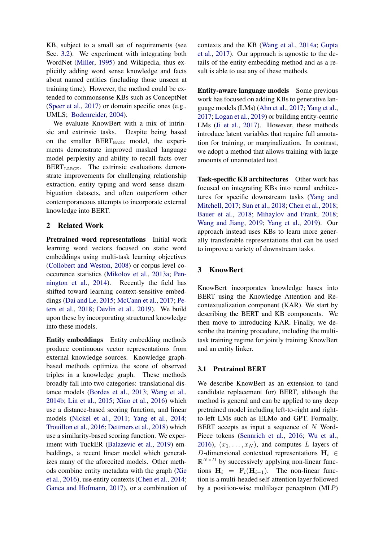KB, subject to a small set of requirements (see Sec. [3.2\)](#page-2-0). We experiment with integrating both WordNet [\(Miller,](#page-10-2) [1995\)](#page-10-2) and Wikipedia, thus explicitly adding word sense knowledge and facts about named entities (including those unseen at training time). However, the method could be extended to commonsense KBs such as ConceptNet [\(Speer et al.,](#page-10-3) [2017\)](#page-10-3) or domain specific ones (e.g., UMLS; [Bodenreider,](#page-9-3) [2004\)](#page-9-3).

We evaluate KnowBert with a mix of intrinsic and extrinsic tasks. Despite being based on the smaller  $BERT_{BASE}$  model, the experiments demonstrate improved masked language model perplexity and ability to recall facts over  $BERT_{LARGE}$ . The extrinsic evaluations demonstrate improvements for challenging relationship extraction, entity typing and word sense disambiguation datasets, and often outperform other contemporaneous attempts to incorporate external knowledge into BERT.

## 2 Related Work

Pretrained word representations Initial work learning word vectors focused on static word embeddings using multi-task learning objectives [\(Collobert and Weston,](#page-9-4) [2008\)](#page-9-4) or corpus level cooccurence statistics [\(Mikolov et al.,](#page-9-5) [2013a;](#page-9-5) [Pen](#page-10-4)[nington et al.,](#page-10-4) [2014\)](#page-10-4). Recently the field has shifted toward learning context-sensitive embeddings [\(Dai and Le,](#page-9-6) [2015;](#page-9-6) [McCann et al.,](#page-9-7) [2017;](#page-9-7) [Pe](#page-10-0)[ters et al.,](#page-10-0) [2018;](#page-10-0) [Devlin et al.,](#page-9-0) [2019\)](#page-9-0). We build upon these by incorporating structured knowledge into these models.

Entity embeddings Entity embedding methods produce continuous vector representations from external knowledge sources. Knowledge graphbased methods optimize the score of observed triples in a knowledge graph. These methods broadly fall into two categories: translational distance models [\(Bordes et al.,](#page-9-8) [2013;](#page-9-8) [Wang et al.,](#page-10-5) [2014b;](#page-10-5) [Lin et al.,](#page-9-9) [2015;](#page-9-9) [Xiao et al.,](#page-10-6) [2016\)](#page-10-6) which use a distance-based scoring function, and linear models [\(Nickel et al.,](#page-10-7) [2011;](#page-10-7) [Yang et al.,](#page-11-1) [2014;](#page-11-1) [Trouillon et al.,](#page-10-8) [2016;](#page-10-8) [Dettmers et al.,](#page-9-10) [2018\)](#page-9-10) which use a similarity-based scoring function. We experiment with TuckER [\(Balazevic et al.,](#page-9-11) [2019\)](#page-9-11) embeddings, a recent linear model which generalizes many of the aforecited models. Other methods combine entity metadata with the graph [\(Xie](#page-10-9) [et al.,](#page-10-9) [2016\)](#page-10-9), use entity contexts [\(Chen et al.,](#page-9-12) [2014;](#page-9-12) [Ganea and Hofmann,](#page-9-13) [2017\)](#page-9-13), or a combination of contexts and the KB [\(Wang et al.,](#page-10-10) [2014a;](#page-10-10) [Gupta](#page-9-14) [et al.,](#page-9-14) [2017\)](#page-9-14). Our approach is agnostic to the details of the entity embedding method and as a result is able to use any of these methods.

Entity-aware language models Some previous work has focused on adding KBs to generative language models (LMs) [\(Ahn et al.,](#page-8-0) [2017;](#page-8-0) [Yang et al.,](#page-11-2) [2017;](#page-11-2) [Logan et al.,](#page-9-1) [2019\)](#page-9-1) or building entity-centric LMs [\(Ji et al.,](#page-9-15) [2017\)](#page-9-15). However, these methods introduce latent variables that require full annotation for training, or marginalization. In contrast, we adopt a method that allows training with large amounts of unannotated text.

Task-specific KB architectures Other work has focused on integrating KBs into neural architectures for specific downstream tasks [\(Yang and](#page-11-0) [Mitchell,](#page-11-0) [2017;](#page-11-0) [Sun et al.,](#page-10-11) [2018;](#page-10-11) [Chen et al.,](#page-9-2) [2018;](#page-9-2) [Bauer et al.,](#page-9-16) [2018;](#page-9-16) [Mihaylov and Frank,](#page-9-17) [2018;](#page-9-17) [Wang and Jiang,](#page-10-12) [2019;](#page-10-12) [Yang et al.,](#page-10-13) [2019\)](#page-10-13). Our approach instead uses KBs to learn more generally transferable representations that can be used to improve a variety of downstream tasks.

# 3 KnowBert

KnowBert incorporates knowledge bases into BERT using the Knowledge Attention and Recontextualization component (KAR). We start by describing the BERT and KB components. We then move to introducing KAR. Finally, we describe the training procedure, including the multitask training regime for jointly training KnowBert and an entity linker.

### 3.1 Pretrained BERT

We describe KnowBert as an extension to (and candidate replacement for) BERT, although the method is general and can be applied to any deep pretrained model including left-to-right and rightto-left LMs such as ELMo and GPT. Formally, BERT accepts as input a sequence of  $N$  Word-Piece tokens [\(Sennrich et al.,](#page-10-14) [2016;](#page-10-14) [Wu et al.,](#page-10-15) [2016\)](#page-10-15),  $(x_1, \ldots, x_N)$ , and computes L layers of D-dimensional contextual representations  $H_i \in$  $\mathbb{R}^{N \times D}$  by successively applying non-linear functions  $H_i = F_i(H_{i-1})$ . The non-linear function is a multi-headed self-attention layer followed by a position-wise multilayer perceptron (MLP)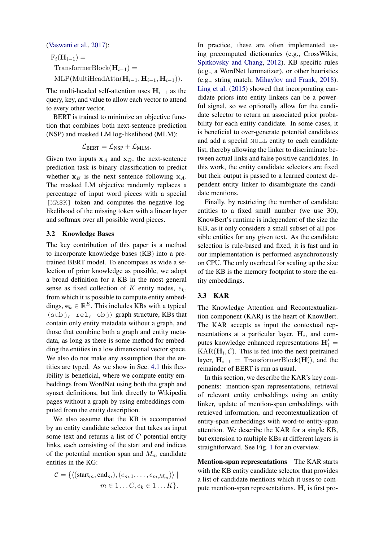[\(Vaswani et al.,](#page-10-16) [2017\)](#page-10-16):

 $F_i(\mathbf{H}_{i-1}) =$ 

TransformerBlock( $\mathbf{H}_{i-1}$ ) =

MLP(MultiHeadAttn( $\mathbf{H}_{i-1}$ ,  $\mathbf{H}_{i-1}$ ,  $\mathbf{H}_{i-1}$ )).

The multi-headed self-attention uses  $H_{i-1}$  as the query, key, and value to allow each vector to attend to every other vector.

BERT is trained to minimize an objective function that combines both next-sentence prediction (NSP) and masked LM log-likelihood (MLM):

$$
\mathcal{L}_{BERT} = \mathcal{L}_{NSP} + \mathcal{L}_{MLM}.
$$

Given two inputs  $x_A$  and  $x_B$ , the next-sentence prediction task is binary classification to predict whether  $x_B$  is the next sentence following  $x_A$ . The masked LM objective randomly replaces a percentage of input word pieces with a special [MASK] token and computes the negative loglikelihood of the missing token with a linear layer and softmax over all possible word pieces.

### <span id="page-2-0"></span>3.2 Knowledge Bases

The key contribution of this paper is a method to incorporate knowledge bases (KB) into a pretrained BERT model. To encompass as wide a selection of prior knowledge as possible, we adopt a broad definition for a KB in the most general sense as fixed collection of  $K$  entity nodes,  $e_k$ , from which it is possible to compute entity embeddings,  $\mathbf{e}_k \in \mathbb{R}^E$ . This includes KBs with a typical (subj, rel, obj) graph structure, KBs that contain only entity metadata without a graph, and those that combine both a graph and entity metadata, as long as there is some method for embedding the entities in a low dimensional vector space. We also do not make any assumption that the entities are typed. As we show in Sec. [4.1](#page-5-0) this flexibility is beneficial, where we compute entity embeddings from WordNet using both the graph and synset definitions, but link directly to Wikipedia pages without a graph by using embeddings computed from the entity description.

We also assume that the KB is accompanied by an entity candidate selector that takes as input some text and returns a list of  $C$  potential entity links, each consisting of the start and end indices of the potential mention span and  $M_m$  candidate entities in the KG:

$$
C = \{ \langle (\text{start}_m, \text{end}_m), (e_{m,1}, \dots, e_{m,M_m}) \rangle \mid
$$
  

$$
m \in 1 \dots C, e_k \in 1 \dots K \}.
$$

In practice, these are often implemented using precomputed dictionaries (e.g., CrossWikis; [Spitkovsky and Chang,](#page-10-17) [2012\)](#page-10-17), KB specific rules (e.g., a WordNet lemmatizer), or other heuristics (e.g., string match; [Mihaylov and Frank,](#page-9-17) [2018\)](#page-9-17). [Ling et al.](#page-9-18) [\(2015\)](#page-9-18) showed that incorporating candidate priors into entity linkers can be a powerful signal, so we optionally allow for the candidate selector to return an associated prior probability for each entity candidate. In some cases, it is beneficial to over-generate potential candidates and add a special NULL entity to each candidate list, thereby allowing the linker to discriminate between actual links and false positive candidates. In this work, the entity candidate selectors are fixed but their output is passed to a learned context dependent entity linker to disambiguate the candidate mentions.

Finally, by restricting the number of candidate entities to a fixed small number (we use 30), KnowBert's runtime is independent of the size the KB, as it only considers a small subset of all possible entities for any given text. As the candidate selection is rule-based and fixed, it is fast and in our implementation is performed asynchronously on CPU. The only overhead for scaling up the size of the KB is the memory footprint to store the entity embeddings.

## 3.3 KAR

The Knowledge Attention and Recontextualization component (KAR) is the heart of KnowBert. The KAR accepts as input the contextual representations at a particular layer,  $H_i$ , and computes knowledge enhanced representations  $\mathbf{H}'_i =$  $KAR(\mathbf{H}_i, C)$ . This is fed into the next pretrained layer,  $\mathbf{H}_{i+1}$  = TransformerBlock( $\mathbf{H}'_i$ ), and the remainder of BERT is run as usual.

In this section, we describe the KAR's key components: mention-span representations, retrieval of relevant entity embeddings using an entity linker, update of mention-span embeddings with retrieved information, and recontextualization of entity-span embeddings with word-to-entity-span attention. We describe the KAR for a single KB, but extension to multiple KBs at different layers is straightforward. See Fig. [1](#page-3-0) for an overview.

Mention-span representations The KAR starts with the KB entity candidate selector that provides a list of candidate mentions which it uses to compute mention-span representations.  $H_i$  is first pro-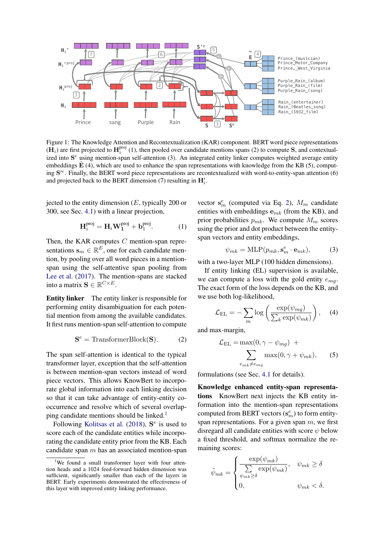<span id="page-3-0"></span>

Figure 1: The Knowledge Attention and Recontextualization (KAR) component. BERT word piece representations  $(\mathbf{H}_i)$  are first projected to  $\mathbf{H}_i^{\text{proj}}(1)$ , then pooled over candidate mentions spans (2) to compute S, and contextualized into  $S<sup>e</sup>$  using mention-span self-attention (3). An integrated entity linker computes weighted average entity embeddings  $E(4)$ , which are used to enhance the span representations with knowledge from the KB (5), computing S'<sup>e</sup>. Finally, the BERT word piece representations are recontextualized with word-to-entity-span attention (6) and projected back to the BERT dimension (7) resulting in  $H'_i$ .

jected to the entity dimension  $(E,$  typically 200 or 300, see Sec. [4.1\)](#page-5-0) with a linear projection,

$$
\mathbf{H}_{i}^{\text{proj}} = \mathbf{H}_{i} \mathbf{W}_{1}^{\text{proj}} + \mathbf{b}_{1}^{\text{proj}}.
$$
 (1)

Then, the KAR computes C mention-span representations  $\mathbf{s}_m \in \mathbb{R}^E$ , one for each candidate mention, by pooling over all word pieces in a mentionspan using the self-attentive span pooling from [Lee et al.](#page-9-19) [\(2017\)](#page-9-19). The mention-spans are stacked into a matrix  $\mathbf{S} \in \mathbb{R}^{C \times E}$ .

Entity linker The entity linker is responsible for performing entity disambiguation for each potential mention from among the available candidates. It first runs mention-span self-attention to compute

$$
\mathbf{S}^e = \text{TransformerBlock}(\mathbf{S}).\tag{2}
$$

The span self-attention is identical to the typical transformer layer, exception that the self-attention is between mention-span vectors instead of word piece vectors. This allows KnowBert to incorporate global information into each linking decision so that it can take advantage of entity-entity cooccurrence and resolve which of several overlap-ping candidate mentions should be linked.<sup>[1](#page-3-1)</sup>

Following [Kolitsas et al.](#page-9-20) [\(2018\)](#page-9-20),  $S^e$  is used to score each of the candidate entities while incorporating the candidate entity prior from the KB. Each candidate span  $m$  has an associated mention-span

<span id="page-3-3"></span>vector  $\mathbf{s}_m^e$  (computed via Eq. [2\)](#page-3-2),  $M_m$  candidate entities with embeddings  $e_{mk}$  (from the KB), and prior probabilities  $p_{mk}$ . We compute  $M_m$  scores using the prior and dot product between the entityspan vectors and entity embeddings,

<span id="page-3-4"></span>
$$
\psi_{mk} = \text{MLP}(p_{mk}, \mathbf{s}_m^e \cdot \mathbf{e}_{mk}),\tag{3}
$$

with a two-layer MLP (100 hidden dimensions).

If entity linking (EL) supervision is available, we can compute a loss with the gold entity  $e_{ma}$ . The exact form of the loss depends on the KB, and we use both log-likelihood,

<span id="page-3-5"></span>
$$
\mathcal{L}_{\text{EL}} = -\sum_{m} \log \left( \frac{\exp(\psi_{mg})}{\sum_{k} \exp(\psi_{mk})} \right), \quad (4)
$$

<span id="page-3-2"></span>and max-margin,

<span id="page-3-6"></span>
$$
\mathcal{L}_{\text{EL}} = \max(0, \gamma - \psi_{mg}) + \sum_{e_{mk} \neq e_{mg}} \max(0, \gamma + \psi_{mk}), \quad (5)
$$

formulations (see Sec. [4.1](#page-5-0) for details).

Knowledge enhanced entity-span representations KnowBert next injects the KB entity information into the mention-span representations computed from BERT vectors  $(s_m^e)$  to form entityspan representations. For a given span  $m$ , we first disregard all candidate entities with score  $\psi$  below a fixed threshold, and softmax normalize the remaining scores:

$$
\tilde{\psi}_{mk} = \begin{cases}\n\frac{\exp(\psi_{mk})}{\sum_{\psi_{mk}\geq \delta} \exp(\psi_{mk})}, & \psi_{mk} \geq \delta \\
0, & \psi_{mk} < \delta.\n\end{cases}
$$

<span id="page-3-1"></span><sup>&</sup>lt;sup>1</sup>We found a small transformer layer with four attention heads and a 1024 feed-forward hidden dimension was sufficient, significantly smaller than each of the layers in BERT. Early experiments demonstrated the effectiveness of this layer with improved entity linking performance.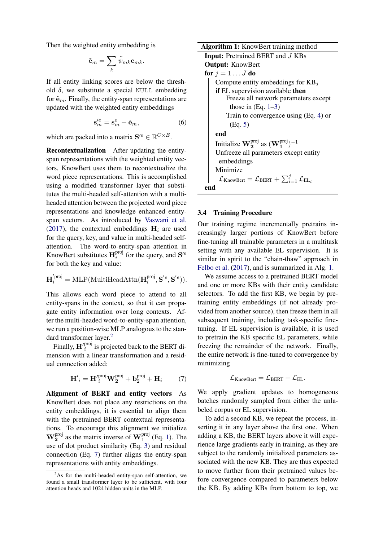Then the weighted entity embedding is

$$
\tilde{\mathbf{e}}_m = \sum_k \tilde{\psi}_{mk} \mathbf{e}_{mk}.
$$

If all entity linking scores are below the threshold  $\delta$ , we substitute a special NULL embedding for  $\tilde{\mathbf{e}}_m$ . Finally, the entity-span representations are updated with the weighted entity embeddings

$$
\mathbf{s}_{m}^{\prime e} = \mathbf{s}_{m}^{e} + \tilde{\mathbf{e}}_{m},\tag{6}
$$

which are packed into a matrix  $S^{\prime e} \in \mathbb{R}^{C \times E}$ .

Recontextualization After updating the entityspan representations with the weighted entity vectors, KnowBert uses them to recontextualize the word piece representations. This is accomplished using a modified transformer layer that substitutes the multi-headed self-attention with a multiheaded attention between the projected word piece representations and knowledge enhanced entityspan vectors. As introduced by [Vaswani et al.](#page-10-16) [\(2017\)](#page-10-16), the contextual embeddings  $H_i$  are used for the query, key, and value in multi-headed selfattention. The word-to-entity-span attention in KnowBert substitutes  $\mathbf{H}_i^{\text{proj}}$  $i$ <sup>proj</sup> for the query, and  $S^{\prime e}$ for both the key and value:

$$
\mathbf{H}_{i}^{'\text{proj}} = \text{MLP}(\text{MultiHeadAttn}(\mathbf{H}_{i}^{\text{proj}}, \mathbf{S}^{'e}, \mathbf{S}^{'e})).
$$

This allows each word piece to attend to all entity-spans in the context, so that it can propagate entity information over long contexts. After the multi-headed word-to-entity-span attention, we run a position-wise MLP analogous to the stan-dard transformer layer.<sup>[2](#page-4-0)</sup>

Finally,  $\mathbf{H'}_i^{\text{proj}}$  is projected back to the BERT dimension with a linear transformation and a residual connection added:

$$
\mathbf{H}'_i = \mathbf{H}'_i^{\text{proj}} \mathbf{W}_2^{\text{proj}} + \mathbf{b}_2^{\text{proj}} + \mathbf{H}_i \tag{7}
$$

Alignment of BERT and entity vectors As KnowBert does not place any restrictions on the entity embeddings, it is essential to align them with the pretrained BERT contextual representations. To encourage this alignment we initialize  $\mathbf{W}_{2}^{\text{proj}}$  as the matrix inverse of  $\mathbf{W}_{1}^{\text{proj}}$  (Eq. [1\)](#page-3-3). The use of dot product similarity (Eq. [3\)](#page-3-4) and residual connection (Eq. [7\)](#page-4-1) further aligns the entity-span representations with entity embeddings.

Algorithm 1: KnowBert training method Input: Pretrained BERT and J KBs Output: KnowBert for  $j = 1 \ldots J$  do Compute entity embeddings for  $KB<sub>i</sub>$ if EL supervision available then Freeze all network parameters except those in  $(Eq. 1-3)$  $(Eq. 1-3)$  $(Eq. 1-3)$ Train to convergence using (Eq. [4\)](#page-3-5) or (Eq. [5\)](#page-3-6) end Initialize  $\mathbf{W}_{2}^{\text{proj}}$  as  $(\mathbf{W}_{1}^{\text{proj}})^{-1}$ Unfreeze all parameters except entity embeddings Minimize  $\mathcal{L}_{\text{KnowBert}} = \mathcal{L}_{\text{BERT}} + \sum_{i=1}^{j} \mathcal{L}_{\text{EL}_i}$ end

#### <span id="page-4-2"></span>3.4 Training Procedure

Our training regime incrementally pretrains increasingly larger portions of KnowBert before fine-tuning all trainable parameters in a multitask setting with any available EL supervision. It is similar in spirit to the "chain-thaw" approach in [Felbo et al.](#page-9-21) [\(2017\)](#page-9-21), and is summarized in Alg. [1.](#page-4-2)

We assume access to a pretrained BERT model and one or more KBs with their entity candidate selectors. To add the first KB, we begin by pretraining entity embeddings (if not already provided from another source), then freeze them in all subsequent training, including task-specific finetuning. If EL supervision is available, it is used to pretrain the KB specific EL parameters, while freezing the remainder of the network. Finally, the entire network is fine-tuned to convergence by minimizing

$$
\mathcal{L}_{\text{KnowBert}} = \mathcal{L}_{\text{BERT}} + \mathcal{L}_{\text{EL}}.
$$

<span id="page-4-1"></span>We apply gradient updates to homogeneous batches randomly sampled from either the unlabeled corpus or EL supervision.

To add a second KB, we repeat the process, inserting it in any layer above the first one. When adding a KB, the BERT layers above it will experience large gradients early in training, as they are subject to the randomly initialized parameters associated with the new KB. They are thus expected to move further from their pretrained values before convergence compared to parameters below the KB. By adding KBs from bottom to top, we

<span id="page-4-0"></span> $2$ As for the multi-headed entity-span self-attention, we found a small transformer layer to be sufficient, with four attention heads and 1024 hidden units in the MLP.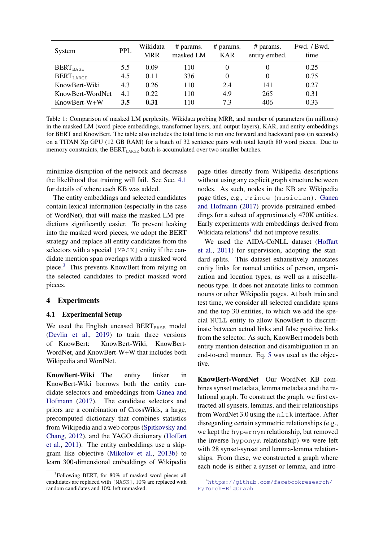<span id="page-5-3"></span>

| System                       | <b>PPL</b> | Wikidata<br><b>MRR</b> | # params.<br>masked LM | # params.<br>KAR | # params.<br>entity embed. | Fwd. / Bwd.<br>time |
|------------------------------|------------|------------------------|------------------------|------------------|----------------------------|---------------------|
| $\text{BERT}_{\text{BASE}}$  | 5.5        | 0.09                   | 110                    | $\theta$         |                            | 0.25                |
| $\text{BERT}_{\text{LARGE}}$ | 4.5        | 0.11                   | 336                    | $\theta$         |                            | 0.75                |
| KnowBert-Wiki                | 4.3        | 0.26                   | 110                    | 2.4              | 141                        | 0.27                |
| KnowBert-WordNet             | 4.1        | 0.22                   | 110                    | 4.9              | 265                        | 0.31                |
| KnowBert-W+W                 | 3.5        | 0.31                   | 110                    | 7.3              | 406                        | 0.33                |

Table 1: Comparison of masked LM perplexity, Wikidata probing MRR, and number of parameters (in millions) in the masked LM (word piece embeddings, transformer layers, and output layers), KAR, and entity embeddings for BERT and KnowBert. The table also includes the total time to run one forward and backward pass (in seconds) on a TITAN Xp GPU (12 GB RAM) for a batch of 32 sentence pairs with total length 80 word pieces. Due to memory constraints, the  $BERT_{LARGE}$  batch is accumulated over two smaller batches.

minimize disruption of the network and decrease the likelihood that training will fail. See Sec. [4.1](#page-5-0) for details of where each KB was added.

The entity embeddings and selected candidates contain lexical information (especially in the case of WordNet), that will make the masked LM predictions significantly easier. To prevent leaking into the masked word pieces, we adopt the BERT strategy and replace all entity candidates from the selectors with a special [MASK] entity if the candidate mention span overlaps with a masked word piece.[3](#page-5-1) This prevents KnowBert from relying on the selected candidates to predict masked word pieces.

## 4 Experiments

#### <span id="page-5-0"></span>4.1 Experimental Setup

We used the English uncased  $BERT_{BASE}$  model [\(Devlin et al.,](#page-9-0) [2019\)](#page-9-0) to train three versions of KnowBert: KnowBert-Wiki, KnowBert-WordNet, and KnowBert-W+W that includes both Wikipedia and WordNet.

KnowBert-Wiki The entity linker in KnowBert-Wiki borrows both the entity candidate selectors and embeddings from [Ganea and](#page-9-13) [Hofmann](#page-9-13) [\(2017\)](#page-9-13). The candidate selectors and priors are a combination of CrossWikis, a large, precomputed dictionary that combines statistics from Wikipedia and a web corpus [\(Spitkovsky and](#page-10-17) [Chang,](#page-10-17) [2012\)](#page-10-17), and the YAGO dictionary [\(Hoffart](#page-9-22) [et al.,](#page-9-22) [2011\)](#page-9-22). The entity embeddings use a skipgram like objective [\(Mikolov et al.,](#page-10-18) [2013b\)](#page-10-18) to learn 300-dimensional embeddings of Wikipedia page titles directly from Wikipedia descriptions without using any explicit graph structure between nodes. As such, nodes in the KB are Wikipedia page titles, e.g., Prince<sub>(musician)</sub>. [Ganea](#page-9-13) [and Hofmann](#page-9-13) [\(2017\)](#page-9-13) provide pretrained embeddings for a subset of approximately 470K entities. Early experiments with embeddings derived from Wikidata relations<sup>[4](#page-5-2)</sup> did not improve results.

We used the AIDA-CoNLL dataset [\(Hoffart](#page-9-22) [et al.,](#page-9-22) [2011\)](#page-9-22) for supervision, adopting the standard splits. This dataset exhaustively annotates entity links for named entities of person, organization and location types, as well as a miscellaneous type. It does not annotate links to common nouns or other Wikipedia pages. At both train and test time, we consider all selected candidate spans and the top 30 entities, to which we add the special NULL entity to allow KnowBert to discriminate between actual links and false positive links from the selector. As such, KnowBert models both entity mention detection and disambiguation in an end-to-end manner. Eq. [5](#page-3-6) was used as the objective.

KnowBert-WordNet Our WordNet KB combines synset metadata, lemma metadata and the relational graph. To construct the graph, we first extracted all synsets, lemmas, and their relationships from WordNet  $3.0$  using the nltk interface. After disregarding certain symmetric relationships (e.g., we kept the hypernym relationship, but removed the inverse hyponym relationship) we were left with 28 synset-synset and lemma-lemma relationships. From these, we constructed a graph where each node is either a synset or lemma, and intro-

<span id="page-5-1"></span><sup>&</sup>lt;sup>3</sup>Following BERT, for 80% of masked word pieces all candidates are replaced with [MASK], 10% are replaced with random candidates and 10% left unmasked.

<span id="page-5-2"></span><sup>4</sup>[https://github.com/facebookresearch/](https://github.com/facebookresearch/PyTorch-BigGraph) [PyTorch-BigGraph](https://github.com/facebookresearch/PyTorch-BigGraph)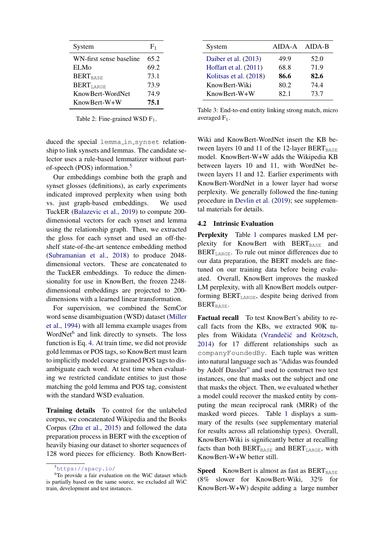<span id="page-6-2"></span>

| System                      | $F_1$ |
|-----------------------------|-------|
| WN-first sense baseline     | 65.2  |
| <b>ELMo</b>                 | 69.2  |
| <b>BERT</b> <sub>BASE</sub> | 73.1  |
| $BERT_{I,ARGE}$             | 73.9  |
| KnowBert-WordNet            | 74.9  |
| KnowBert-W+W                | 75.1  |

Table 2: Fine-grained WSD  $F_1$ .

duced the special lemma in synset relationship to link synsets and lemmas. The candidate selector uses a rule-based lemmatizer without partof-speech (POS) information.[5](#page-6-0)

Our embeddings combine both the graph and synset glosses (definitions), as early experiments indicated improved perplexity when using both vs. just graph-based embeddings. We used TuckER [\(Balazevic et al.,](#page-9-11) [2019\)](#page-9-11) to compute 200 dimensional vectors for each synset and lemma using the relationship graph. Then, we extracted the gloss for each synset and used an off-theshelf state-of-the-art sentence embedding method [\(Subramanian et al.,](#page-10-19) [2018\)](#page-10-19) to produce 2048 dimensional vectors. These are concatenated to the TuckER embeddings. To reduce the dimensionality for use in KnowBert, the frozen 2248 dimensional embeddings are projected to 200 dimensions with a learned linear transformation.

For supervision, we combined the SemCor word sense disambiguation (WSD) dataset [\(Miller](#page-10-20) [et al.,](#page-10-20) [1994\)](#page-10-20) with all lemma example usages from WordNet<sup>[6](#page-6-1)</sup> and link directly to synsets. The loss function is Eq. [4.](#page-3-5) At train time, we did not provide gold lemmas or POS tags, so KnowBert must learn to implicitly model coarse grained POS tags to disambiguate each word. At test time when evaluating we restricted candidate entities to just those matching the gold lemma and POS tag, consistent with the standard WSD evaluation.

Training details To control for the unlabeled corpus, we concatenated Wikipedia and the Books Corpus [\(Zhu et al.,](#page-11-3) [2015\)](#page-11-3) and followed the data preparation process in BERT with the exception of heavily biasing our dataset to shorter sequences of 128 word pieces for efficiency. Both KnowBert-

<span id="page-6-3"></span>

| System                 | AIDA-A | AIDA-B |
|------------------------|--------|--------|
| Daiber et al. (2013)   | 49.9   | 52.0   |
| Hoffart et al. (2011)  | 68.8   | 71.9   |
| Kolitsas et al. (2018) | 86.6   | 82.6   |
| KnowBert-Wiki          | 80.2   | 744    |
| $Know Bert-W+W$        | 82.1   | 73.7   |

Table 3: End-to-end entity linking strong match, micro averaged  $F_1$ .

Wiki and KnowBert-WordNet insert the KB between layers 10 and 11 of the 12-layer  $BERT_{BASE}$ model. KnowBert-W+W adds the Wikipedia KB between layers 10 and 11, with WordNet between layers 11 and 12. Earlier experiments with KnowBert-WordNet in a lower layer had worse perplexity. We generally followed the fine-tuning procedure in [Devlin et al.](#page-9-0) [\(2019\)](#page-9-0); see supplemental materials for details.

### 4.2 Intrinsic Evaluation

Perplexity Table [1](#page-5-3) compares masked LM perplexity for KnowBert with  $BERT_{BASE}$  and  $BERT<sub>LARGE</sub>$ . To rule out minor differences due to our data preparation, the BERT models are finetuned on our training data before being evaluated. Overall, KnowBert improves the masked LM perplexity, with all KnowBert models outperforming  $BERT_{LARGE}$ , despite being derived from BERT<sub>BASE</sub>.

Factual recall To test KnowBert's ability to recall facts from the KBs, we extracted 90K tuples from Wikidata (Vrandečić and Krötzsch, [2014\)](#page-10-21) for 17 different relationships such as companyFoundedBy. Each tuple was written into natural language such as "Adidas was founded by Adolf Dassler" and used to construct two test instances, one that masks out the subject and one that masks the object. Then, we evaluated whether a model could recover the masked entity by computing the mean reciprocal rank (MRR) of the masked word pieces. Table [1](#page-5-3) displays a summary of the results (see supplementary material for results across all relationship types). Overall, KnowBert-Wiki is significantly better at recalling facts than both  $BERT_{BASE}$  and  $BERT_{LARGE}$ , with KnowBert-W+W better still.

**Speed** KnowBert is almost as fast as  $BERT_{BASE}$ (8% slower for KnowBert-Wiki, 32% for KnowBert-W+W) despite adding a large number

<span id="page-6-1"></span><span id="page-6-0"></span><sup>5</sup><https://spacy.io/>

<sup>&</sup>lt;sup>6</sup>To provide a fair evaluation on the WiC dataset which is partially based on the same source, we excluded all WiC train, development and test instances.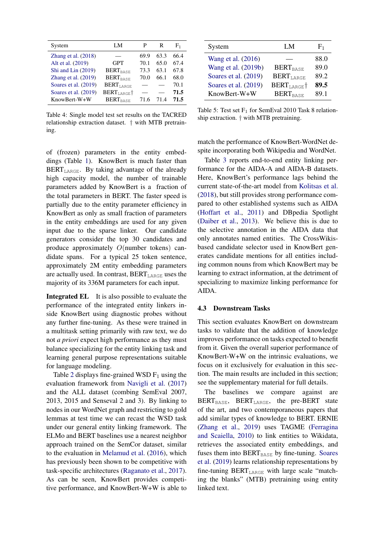<span id="page-7-0"></span>

| System                | LM                          |      | R    | $F_1$ |
|-----------------------|-----------------------------|------|------|-------|
| Zhang et al. $(2018)$ |                             | 69.9 | 63.3 | 66.4  |
| Alt et al. (2019)     | <b>GPT</b>                  | 70.1 | 65.0 | 67.4  |
| Shi and Lin (2019)    | <b>BERT</b> <sub>BASE</sub> | 73.3 | 63.1 | 67.8  |
| Zhang et al. $(2019)$ | <b>BERT</b> RASE            | 70.0 | 66.1 | 68.0  |
| Soares et al. (2019)  | <b>BERT</b> LARGE           |      |      | 70.1  |
| Soares et al. (2019)  | $BERT_{LARGE}$              |      |      | 71.5  |
| KnowBert-W+W          | <b>BERT</b> <sub>BASE</sub> | 71.6 | 714  | 71.5  |
|                       |                             |      |      |       |

Table 4: Single model test set results on the TACRED relationship extraction dataset. † with MTB pretraining.

<span id="page-7-1"></span>

| System               | LM.                         | $F_1$ |
|----------------------|-----------------------------|-------|
| Wang et al. (2016)   |                             | 88.0  |
| Wang et al. (2019b)  | <b>BERT</b> <sub>BASE</sub> | 89.0  |
| Soares et al. (2019) | $BERT_{LARGE}$              | 89.2  |
| Soares et al. (2019) | BERT <sub>LARGE</sub> †     | 89.5  |
| KnowBert-W+W         | <b>BERT</b> <sub>BASE</sub> | 891   |

Table 5: Test set  $F_1$  for SemEval 2010 Task 8 relationship extraction. † with MTB pretraining.

match the performance of KnowBert-WordNet despite incorporating both Wikipedia and WordNet.

Table [3](#page-6-3) reports end-to-end entity linking performance for the AIDA-A and AIDA-B datasets. Here, KnowBert's performance lags behind the current state-of-the-art model from [Kolitsas et al.](#page-9-20) [\(2018\)](#page-9-20), but still provides strong performance compared to other established systems such as AIDA [\(Hoffart et al.,](#page-9-22) [2011\)](#page-9-22) and DBpedia Spotlight [\(Daiber et al.,](#page-9-23) [2013\)](#page-9-23). We believe this is due to the selective annotation in the AIDA data that only annotates named entities. The CrossWikisbased candidate selector used in KnowBert generates candidate mentions for all entities including common nouns from which KnowBert may be learning to extract information, at the detriment of specializing to maximize linking performance for AIDA.

## 4.3 Downstream Tasks

This section evaluates KnowBert on downstream tasks to validate that the addition of knowledge improves performance on tasks expected to benefit from it. Given the overall superior performance of KnowBert-W+W on the intrinsic evaluations, we focus on it exclusively for evaluation in this section. The main results are included in this section; see the supplementary material for full details.

The baselines we compare against are  $BERT<sub>BASE</sub>$ ,  $BERT<sub>LARGE</sub>$ , the pre-BERT state of the art, and two contemporaneous papers that add similar types of knowledge to BERT. ERNIE [\(Zhang et al.,](#page-11-5) [2019\)](#page-11-5) uses TAGME [\(Ferragina](#page-9-25) [and Scaiella,](#page-9-25) [2010\)](#page-9-25) to link entities to Wikidata, retrieves the associated entity embeddings, and fuses them into  $BERT_{BASE}$  by fine-tuning. [Soares](#page-10-23) [et al.](#page-10-23) [\(2019\)](#page-10-23) learns relationship representations by fine-tuning  $BERT_{LARGE}$  with large scale "matching the blanks" (MTB) pretraining using entity linked text.

of (frozen) parameters in the entity embeddings (Table [1\)](#page-5-3). KnowBert is much faster than  $BERT_{LARGE}$ . By taking advantage of the already high capacity model, the number of trainable parameters added by KnowBert is a fraction of the total parameters in BERT. The faster speed is partially due to the entity parameter efficiency in KnowBert as only as small fraction of parameters in the entity embeddings are used for any given input due to the sparse linker. Our candidate generators consider the top 30 candidates and produce approximately O(number tokens) candidate spans. For a typical 25 token sentence, approximately 2M entity embedding parameters are actually used. In contrast,  $BERT_{LARGE}$  uses the majority of its 336M parameters for each input.

Integrated EL It is also possible to evaluate the performance of the integrated entity linkers inside KnowBert using diagnostic probes without any further fine-tuning. As these were trained in a multitask setting primarily with raw text, we do not *a priori* expect high performance as they must balance specializing for the entity linking task and learning general purpose representations suitable for language modeling.

Table [2](#page-6-2) displays fine-grained WSD  $F_1$  using the evaluation framework from [Navigli et al.](#page-10-24) [\(2017\)](#page-10-24) and the ALL dataset (combing SemEval 2007, 2013, 2015 and Senseval 2 and 3). By linking to nodes in our WordNet graph and restricting to gold lemmas at test time we can recast the WSD task under our general entity linking framework. The ELMo and BERT baselines use a nearest neighbor approach trained on the SemCor dataset, similar to the evaluation in [Melamud et al.](#page-9-24) [\(2016\)](#page-9-24), which has previously been shown to be competitive with task-specific architectures [\(Raganato et al.,](#page-10-25) [2017\)](#page-10-25). As can be seen, KnowBert provides competitive performance, and KnowBert-W+W is able to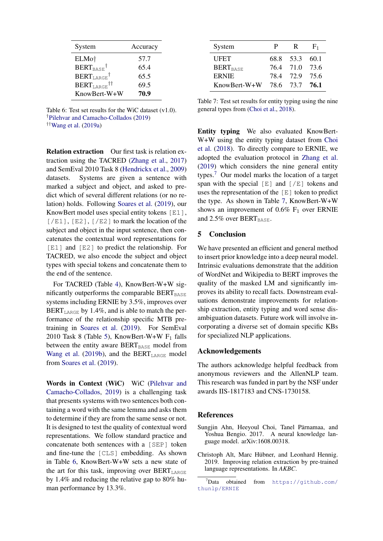<span id="page-8-2"></span>

| System                       | Accuracy |
|------------------------------|----------|
| ELMo <sup>+</sup>            | 57.7     |
| $BERT_{BASE}$ <sup>†</sup>   | 65.4     |
| $BERT_{LARGE}$ <sup>†</sup>  | 65.5     |
| $BERT_{LARGE}$ <sup>††</sup> | 69.5     |
| KnowBert-W+W                 | 70.9     |

Table 6: Test set results for the WiC dataset (v1.0). †[Pilehvar and Camacho-Collados](#page-10-28) [\(2019\)](#page-10-28) ††[Wang et al.](#page-10-29) [\(2019a\)](#page-10-29)

Relation extraction Our first task is relation extraction using the TACRED [\(Zhang et al.,](#page-11-6) [2017\)](#page-11-6) and SemEval 2010 Task 8 [\(Hendrickx et al.,](#page-9-26) [2009\)](#page-9-26) datasets. Systems are given a sentence with marked a subject and object, and asked to predict which of several different relations (or no relation) holds. Following [Soares et al.](#page-10-23) [\(2019\)](#page-10-23), our KnowBert model uses special entity tokens [E1],  $[/E1]$ ,  $[E2]$ ,  $[/E2]$  to mark the location of the subject and object in the input sentence, then concatenates the contextual word representations for [E1] and [E2] to predict the relationship. For TACRED, we also encode the subject and object types with special tokens and concatenate them to the end of the sentence.

For TACRED (Table [4\)](#page-7-0), KnowBert-W+W significantly outperforms the comparable  $BERT_{BASE}$ systems including ERNIE by 3.5%, improves over  $BERT_{LARGE}$  by 1.4%, and is able to match the performance of the relationship specific MTB pretraining in [Soares et al.](#page-10-23) [\(2019\)](#page-10-23). For SemEval 2010 Task 8 (Table [5\)](#page-7-1), KnowBert-W+W  $F_1$  falls between the entity aware BERT<sub>BASE</sub> model from [Wang et al.](#page-10-27) [\(2019b\)](#page-10-27), and the  $BERT_{LARGE}$  model from [Soares et al.](#page-10-23) [\(2019\)](#page-10-23).

Words in Context (WiC) WiC [\(Pilehvar and](#page-10-28) [Camacho-Collados,](#page-10-28) [2019\)](#page-10-28) is a challenging task that presents systems with two sentences both containing a word with the same lemma and asks them to determine if they are from the same sense or not. It is designed to test the quality of contextual word representations. We follow standard practice and concatenate both sentences with a [SEP] token and fine-tune the [CLS] embedding. As shown in Table [6,](#page-8-2) KnowBert-W+W sets a new state of the art for this task, improving over  $BERT_{\text{LARGE}}$ by 1.4% and reducing the relative gap to 80% human performance by 13.3%.

<span id="page-8-4"></span>

| System                      | P. | R.             | $F_1$   |
|-----------------------------|----|----------------|---------|
| UFET                        |    | 68.8 53.3      | $-60.1$ |
| <b>BERT</b> <sub>BASE</sub> |    | 76.4 71.0      | 73.6    |
| <b>ERNIE</b>                |    | 78.4 72.9 75.6 |         |
| $KnowBert-W+W$              |    | 78.6 73.7 76.1 |         |

Table 7: Test set results for entity typing using the nine general types from [\(Choi et al.,](#page-9-27) [2018\)](#page-9-27).

Entity typing We also evaluated KnowBert-W+W using the entity typing dataset from [Choi](#page-9-27) [et al.](#page-9-27) [\(2018\)](#page-9-27). To directly compare to ERNIE, we adopted the evaluation protocol in [Zhang et al.](#page-11-5) [\(2019\)](#page-11-5) which considers the nine general entity types.[7](#page-8-3) Our model marks the location of a target span with the special  $[E]$  and  $[ /E]$  tokens and uses the representation of the [E] token to predict the type. As shown in Table [7,](#page-8-4) KnowBert-W+W shows an improvement of  $0.6\%$  F<sub>1</sub> over ERNIE and 2.5% over  $BERT_{BASE}$ .

## 5 Conclusion

We have presented an efficient and general method to insert prior knowledge into a deep neural model. Intrinsic evaluations demonstrate that the addition of WordNet and Wikipedia to BERT improves the quality of the masked LM and significantly improves its ability to recall facts. Downstream evaluations demonstrate improvements for relationship extraction, entity typing and word sense disambiguation datasets. Future work will involve incorporating a diverse set of domain specific KBs for specialized NLP applications.

## Acknowledgements

The authors acknowledge helpful feedback from anonymous reviewers and the AllenNLP team. This research was funded in part by the NSF under awards IIS-1817183 and CNS-1730158.

## References

- <span id="page-8-0"></span>Sungjin Ahn, Heeyoul Choi, Tanel Pärnamaa, and Yoshua Bengio. 2017. A neural knowledge language model. arXiv:1608.00318.
- <span id="page-8-1"></span>Christoph Alt, Marc Hübner, and Leonhard Hennig. 2019. Improving relation extraction by pre-trained language representations. In *AKBC*.

<span id="page-8-3"></span> $7$ Data obtained from [https://github.com/](https://github.com/thunlp/ERNIE) [thunlp/ERNIE](https://github.com/thunlp/ERNIE)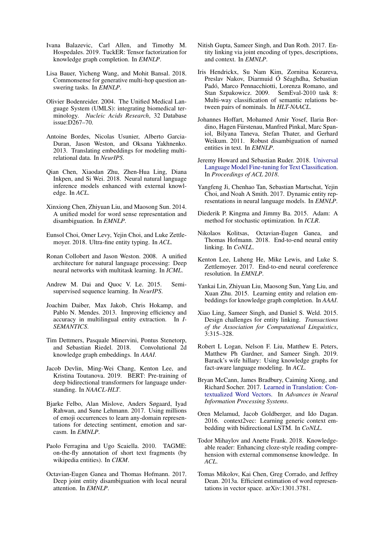- <span id="page-9-11"></span>Ivana Balazevic, Carl Allen, and Timothy M. Hospedales. 2019. TuckER: Tensor factorization for knowledge graph completion. In *EMNLP*.
- <span id="page-9-16"></span>Lisa Bauer, Yicheng Wang, and Mohit Bansal. 2018. Commonsense for generative multi-hop question answering tasks. In *EMNLP*.
- <span id="page-9-3"></span>Olivier Bodenreider. 2004. The Unified Medical Language System (UMLS): integrating biomedical terminology. *Nucleic Acids Research*, 32 Database issue:D267–70.
- <span id="page-9-8"></span>Antoine Bordes, Nicolas Usunier, Alberto Garcia-Duran, Jason Weston, and Oksana Yakhnenko. 2013. Translating embeddings for modeling multirelational data. In *NeurIPS*.
- <span id="page-9-2"></span>Qian Chen, Xiaodan Zhu, Zhen-Hua Ling, Diana Inkpen, and Si Wei. 2018. Neural natural language inference models enhanced with external knowledge. In *ACL*.
- <span id="page-9-12"></span>Xinxiong Chen, Zhiyuan Liu, and Maosong Sun. 2014. A unified model for word sense representation and disambiguation. In *EMNLP*.
- <span id="page-9-27"></span>Eunsol Choi, Omer Levy, Yejin Choi, and Luke Zettlemoyer. 2018. Ultra-fine entity typing. In *ACL*.
- <span id="page-9-4"></span>Ronan Collobert and Jason Weston. 2008. A unified architecture for natural language processing: Deep neural networks with multitask learning. In *ICML*.
- <span id="page-9-6"></span>Andrew M. Dai and Quoc V. Le. 2015. Semisupervised sequence learning. In *NeurIPS*.
- <span id="page-9-23"></span>Joachim Daiber, Max Jakob, Chris Hokamp, and Pablo N. Mendes. 2013. Improving efficiency and accuracy in multilingual entity extraction. In *I-SEMANTICS*.
- <span id="page-9-10"></span>Tim Dettmers, Pasquale Minervini, Pontus Stenetorp, and Sebastian Riedel. 2018. Convolutional 2d knowledge graph embeddings. In *AAAI*.
- <span id="page-9-0"></span>Jacob Devlin, Ming-Wei Chang, Kenton Lee, and Kristina Toutanova. 2019. BERT: Pre-training of deep bidirectional transformers for language understanding. In *NAACL-HLT*.
- <span id="page-9-21"></span>Bjarke Felbo, Alan Mislove, Anders Søgaard, Iyad Rahwan, and Sune Lehmann. 2017. Using millions of emoji occurrences to learn any-domain representations for detecting sentiment, emotion and sarcasm. In *EMNLP*.
- <span id="page-9-25"></span>Paolo Ferragina and Ugo Scaiella. 2010. TAGME: on-the-fly annotation of short text fragments (by wikipedia entities). In *CIKM*.
- <span id="page-9-13"></span>Octavian-Eugen Ganea and Thomas Hofmann. 2017. Deep joint entity disambiguation with local neural attention. In *EMNLP*.
- <span id="page-9-14"></span>Nitish Gupta, Sameer Singh, and Dan Roth. 2017. Entity linking via joint encoding of types, descriptions, and context. In *EMNLP*.
- <span id="page-9-26"></span>Iris Hendrickx, Su Nam Kim, Zornitsa Kozareva, Preslav Nakov, Diarmuid Ó Séaghdha, Sebastian Padó, Marco Pennacchiotti, Lorenza Romano, and Stan Szpakowicz. 2009. SemEval-2010 task 8: Multi-way classification of semantic relations between pairs of nominals. In *HLT-NAACL*.
- <span id="page-9-22"></span>Johannes Hoffart, Mohamed Amir Yosef, Ilaria Bordino, Hagen Fürstenau, Manfred Pinkal, Marc Spaniol, Bilyana Taneva, Stefan Thater, and Gerhard Weikum. 2011. Robust disambiguation of named entities in text. In *EMNLP*.
- <span id="page-9-29"></span>Jeremy Howard and Sebastian Ruder. 2018. [Universal](http://arxiv.org/abs/1801.06146) [Language Model Fine-tuning for Text Classification.](http://arxiv.org/abs/1801.06146) In *Proceedings of ACL 2018*.
- <span id="page-9-15"></span>Yangfeng Ji, Chenhao Tan, Sebastian Martschat, Yejin Choi, and Noah A Smith. 2017. Dynamic entity representations in neural language models. In *EMNLP*.
- <span id="page-9-28"></span>Diederik P. Kingma and Jimmy Ba. 2015. Adam: A method for stochastic optimization. In *ICLR*.
- <span id="page-9-20"></span>Nikolaos Kolitsas, Octavian-Eugen Ganea, and Thomas Hofmann. 2018. End-to-end neural entity linking. In *CoNLL*.
- <span id="page-9-19"></span>Kenton Lee, Luheng He, Mike Lewis, and Luke S. Zettlemoyer. 2017. End-to-end neural coreference resolution. In *EMNLP*.
- <span id="page-9-9"></span>Yankai Lin, Zhiyuan Liu, Maosong Sun, Yang Liu, and Xuan Zhu. 2015. Learning entity and relation embeddings for knowledge graph completion. In *AAAI*.
- <span id="page-9-18"></span>Xiao Ling, Sameer Singh, and Daniel S. Weld. 2015. Design challenges for entity linking. *Transactions of the Association for Computational Linguistics*, 3:315–328.
- <span id="page-9-1"></span>Robert L Logan, Nelson F. Liu, Matthew E. Peters, Matthew Ph Gardner, and Sameer Singh. 2019. Barack's wife hillary: Using knowledge graphs for fact-aware language modeling. In *ACL*.
- <span id="page-9-7"></span>Bryan McCann, James Bradbury, Caiming Xiong, and Richard Socher. 2017. [Learned in Translation: Con](http://arxiv.org/abs/1708.00107)[textualized Word Vectors.](http://arxiv.org/abs/1708.00107) In *Advances in Neural Information Processing Systems*.
- <span id="page-9-24"></span>Oren Melamud, Jacob Goldberger, and Ido Dagan. 2016. context2vec: Learning generic context embedding with bidirectional LSTM. In *CoNLL*.
- <span id="page-9-17"></span>Todor Mihaylov and Anette Frank. 2018. Knowledgeable reader: Enhancing cloze-style reading comprehension with external commonsense knowledge. In *ACL*.
- <span id="page-9-5"></span>Tomas Mikolov, Kai Chen, Greg Corrado, and Jeffrey Dean. 2013a. Efficient estimation of word representations in vector space. arXiv:1301.3781.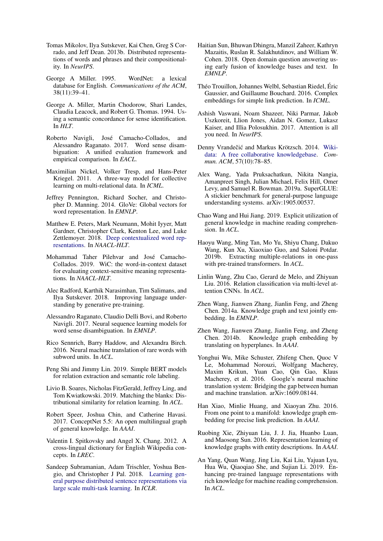- <span id="page-10-18"></span>Tomas Mikolov, Ilya Sutskever, Kai Chen, Greg S Corrado, and Jeff Dean. 2013b. Distributed representations of words and phrases and their compositionality. In *NeurIPS*.
- <span id="page-10-2"></span>George A Miller. 1995. WordNet: a lexical database for English. *Communications of the ACM*, 38(11):39–41.
- <span id="page-10-20"></span>George A. Miller, Martin Chodorow, Shari Landes, Claudia Leacock, and Robert G. Thomas. 1994. Using a semantic concordance for sense identification. In *HLT*.
- <span id="page-10-24"></span>Roberto Navigli, Jose Camacho-Collados, and ´ Alessandro Raganato. 2017. Word sense disambiguation: A unified evaluation framework and empirical comparison. In *EACL*.
- <span id="page-10-7"></span>Maximilian Nickel, Volker Tresp, and Hans-Peter Kriegel. 2011. A three-way model for collective learning on multi-relational data. In *ICML*.
- <span id="page-10-4"></span>Jeffrey Pennington, Richard Socher, and Christopher D. Manning. 2014. GloVe: Global vectors for word representation. In *EMNLP*.
- <span id="page-10-0"></span>Matthew E. Peters, Mark Neumann, Mohit Iyyer, Matt Gardner, Christopher Clark, Kenton Lee, and Luke Zettlemoyer. 2018. [Deep contextualized word rep](http://arxiv.org/abs/arXiv:1802.05365v1)[resentations.](http://arxiv.org/abs/arXiv:1802.05365v1) In *NAACL-HLT*.
- <span id="page-10-28"></span>Mohammad Taher Pilehvar and José Camacho-Collados. 2019. WiC: the word-in-context dataset for evaluating context-sensitive meaning representations. In *NAACL-HLT*.
- <span id="page-10-1"></span>Alec Radford, Karthik Narasimhan, Tim Salimans, and Ilya Sutskever. 2018. Improving language understanding by generative pre-training.
- <span id="page-10-25"></span>Alessandro Raganato, Claudio Delli Bovi, and Roberto Navigli. 2017. Neural sequence learning models for word sense disambiguation. In *EMNLP*.
- <span id="page-10-14"></span>Rico Sennrich, Barry Haddow, and Alexandra Birch. 2016. Neural machine translation of rare words with subword units. In *ACL*.
- <span id="page-10-22"></span>Peng Shi and Jimmy Lin. 2019. Simple BERT models for relation extraction and semantic role labeling.
- <span id="page-10-23"></span>Livio B. Soares, Nicholas FitzGerald, Jeffrey Ling, and Tom Kwiatkowski. 2019. Matching the blanks: Distributional similarity for relation learning. In *ACL*.
- <span id="page-10-3"></span>Robert Speer, Joshua Chin, and Catherine Havasi. 2017. ConceptNet 5.5: An open multilingual graph of general knowledge. In *AAAI*.
- <span id="page-10-17"></span>Valentin I. Spitkovsky and Angel X. Chang. 2012. A cross-lingual dictionary for English Wikipedia concepts. In *LREC*.
- <span id="page-10-19"></span>Sandeep Subramanian, Adam Trischler, Yoshua Bengio, and Christopher J Pal. 2018. [Learning gen](http://arxiv.org/abs/arXiv:1804.00079v1)[eral purpose distributed sentence representations via](http://arxiv.org/abs/arXiv:1804.00079v1) [large scale multi-task learning.](http://arxiv.org/abs/arXiv:1804.00079v1) In *ICLR*.
- <span id="page-10-11"></span>Haitian Sun, Bhuwan Dhingra, Manzil Zaheer, Kathryn Mazaitis, Ruslan R. Salakhutdinov, and William W. Cohen. 2018. Open domain question answering using early fusion of knowledge bases and text. In *EMNLP*.
- <span id="page-10-8"></span>Théo Trouillon, Johannes Welbl, Sebastian Riedel, Éric Gaussier, and Guillaume Bouchard. 2016. Complex embeddings for simple link prediction. In *ICML*.
- <span id="page-10-16"></span>Ashish Vaswani, Noam Shazeer, Niki Parmar, Jakob Uszkoreit, Llion Jones, Aidan N. Gomez, Lukasz Kaiser, and Illia Polosukhin. 2017. Attention is all you need. In *NeurIPS*.
- <span id="page-10-21"></span>Denny Vrandečić and Markus Krötzsch. 2014. [Wiki](https://doi.org/10.1145/2629489)[data: A free collaborative knowledgebase.](https://doi.org/10.1145/2629489) *Commun. ACM*, 57(10):78–85.
- <span id="page-10-29"></span>Alex Wang, Yada Pruksachatkun, Nikita Nangia, Amanpreet Singh, Julian Michael, Felix Hill, Omer Levy, and Samuel R. Bowman. 2019a. SuperGLUE: A stickier benchmark for general-purpose language understanding systems. arXiv:1905.00537.
- <span id="page-10-12"></span>Chao Wang and Hui Jiang. 2019. Explicit utilization of general knowledge in machine reading comprehension. In *ACL*.
- <span id="page-10-27"></span>Haoyu Wang, Ming Tan, Mo Yu, Shiyu Chang, Dakuo Wang, Kun Xu, Xiaoxiao Guo, and Saloni Potdar. 2019b. Extracting multiple-relations in one-pass with pre-trained transformers. In *ACL*.
- <span id="page-10-26"></span>Linlin Wang, Zhu Cao, Gerard de Melo, and Zhiyuan Liu. 2016. Relation classification via multi-level attention CNNs. In *ACL*.
- <span id="page-10-10"></span>Zhen Wang, Jianwen Zhang, Jianlin Feng, and Zheng Chen. 2014a. Knowledge graph and text jointly embedding. In *EMNLP*.
- <span id="page-10-5"></span>Zhen Wang, Jianwen Zhang, Jianlin Feng, and Zheng Chen. 2014b. Knowledge graph embedding by translating on hyperplanes. In *AAAI*.
- <span id="page-10-15"></span>Yonghui Wu, Mike Schuster, Zhifeng Chen, Quoc V Le, Mohammad Norouzi, Wolfgang Macherey, Maxim Krikun, Yuan Cao, Qin Gao, Klaus Macherey, et al. 2016. Google's neural machine translation system: Bridging the gap between human and machine translation. arXiv:1609.08144.
- <span id="page-10-6"></span>Han Xiao, Minlie Huang, and Xiaoyan Zhu. 2016. From one point to a manifold: knowledge graph embedding for precise link prediction. In *AAAI*.
- <span id="page-10-9"></span>Ruobing Xie, Zhiyuan Liu, J. J. Jia, Huanbo Luan, and Maosong Sun. 2016. Representation learning of knowledge graphs with entity descriptions. In *AAAI*.
- <span id="page-10-13"></span>An Yang, Quan Wang, Jing Liu, Kai Liu, Yajuan Lyu, Hua Wu, Qiaoqiao She, and Sujian Li. 2019. Enhancing pre-trained language representations with rich knowledge for machine reading comprehension. In *ACL*.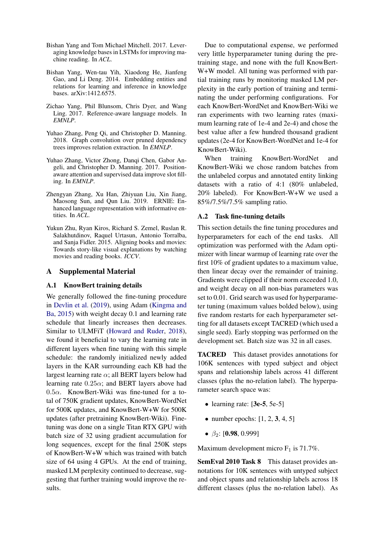- <span id="page-11-0"></span>Bishan Yang and Tom Michael Mitchell. 2017. Leveraging knowledge bases in LSTMs for improving machine reading. In *ACL*.
- <span id="page-11-1"></span>Bishan Yang, Wen-tau Yih, Xiaodong He, Jianfeng Gao, and Li Deng. 2014. Embedding entities and relations for learning and inference in knowledge bases. arXiv:1412.6575.
- <span id="page-11-2"></span>Zichao Yang, Phil Blunsom, Chris Dyer, and Wang Ling. 2017. Reference-aware language models. In *EMNLP*.
- <span id="page-11-4"></span>Yuhao Zhang, Peng Qi, and Christopher D. Manning. 2018. Graph convolution over pruned dependency trees improves relation extraction. In *EMNLP*.
- <span id="page-11-6"></span>Yuhao Zhang, Victor Zhong, Danqi Chen, Gabor Angeli, and Christopher D. Manning. 2017. Positionaware attention and supervised data improve slot filling. In *EMNLP*.
- <span id="page-11-5"></span>Zhengyan Zhang, Xu Han, Zhiyuan Liu, Xin Jiang, Maosong Sun, and Qun Liu. 2019. ERNIE: Enhanced language representation with informative entities. In *ACL*.
- <span id="page-11-3"></span>Yukun Zhu, Ryan Kiros, Richard S. Zemel, Ruslan R. Salakhutdinov, Raquel Urtasun, Antonio Torralba, and Sanja Fidler. 2015. Aligning books and movies: Towards story-like visual explanations by watching movies and reading books. *ICCV*.

## A Supplemental Material

### A.1 KnowBert training details

We generally followed the fine-tuning procedure in [Devlin et al.](#page-9-0) [\(2019\)](#page-9-0), using Adam [\(Kingma and](#page-9-28) [Ba,](#page-9-28) [2015\)](#page-9-28) with weight decay 0.1 and learning rate schedule that linearly increases then decreases. Similar to ULMFiT [\(Howard and Ruder,](#page-9-29) [2018\)](#page-9-29), we found it beneficial to vary the learning rate in different layers when fine tuning with this simple schedule: the randomly initialized newly added layers in the KAR surrounding each KB had the largest learning rate  $\alpha$ ; all BERT layers below had learning rate  $0.25\alpha$ ; and BERT layers above had 0.5 $\alpha$ . KnowBert-Wiki was fine-tuned for a total of 750K gradient updates, KnowBert-WordNet for 500K updates, and KnowBert-W+W for 500K updates (after pretraining KnowBert-Wiki). Finetuning was done on a single Titan RTX GPU with batch size of 32 using gradient accumulation for long sequences, except for the final 250K steps of KnowBert-W+W which was trained with batch size of 64 using 4 GPUs. At the end of training, masked LM perplexity continued to decrease, suggesting that further training would improve the results.

Due to computational expense, we performed very little hyperparameter tuning during the pretraining stage, and none with the full KnowBert-W+W model. All tuning was performed with partial training runs by monitoring masked LM perplexity in the early portion of training and terminating the under performing configurations. For each KnowBert-WordNet and KnowBert-Wiki we ran experiments with two learning rates (maximum learning rate of 1e-4 and 2e-4) and chose the best value after a few hundred thousand gradient updates (2e-4 for KnowBert-WordNet and 1e-4 for KnowBert-Wiki).

When training KnowBert-WordNet and KnowBert-Wiki we chose random batches from the unlabeled corpus and annotated entity linking datasets with a ratio of 4:1 (80% unlabeled, 20% labeled). For KnowBert-W+W we used a 85%/7.5%/7.5% sampling ratio.

## A.2 Task fine-tuning details

This section details the fine tuning procedures and hyperparameters for each of the end tasks. All optimization was performed with the Adam optimizer with linear warmup of learning rate over the first 10% of gradient updates to a maximum value, then linear decay over the remainder of training. Gradients were clipped if their norm exceeded 1.0, and weight decay on all non-bias parameters was set to 0.01. Grid search was used for hyperparameter tuning (maximum values bolded below), using five random restarts for each hyperparameter setting for all datasets except TACRED (which used a single seed). Early stopping was performed on the development set. Batch size was 32 in all cases.

TACRED This dataset provides annotations for 106K sentences with typed subject and object spans and relationship labels across 41 different classes (plus the no-relation label). The hyperparameter search space was:

- learning rate: [3e-5, 5e-5]
- number epochs:  $[1, 2, 3, 4, 5]$
- $\beta_2$ : [0.98, 0.999]

Maximum development micro  $F_1$  is 71.7%.

SemEval 2010 Task 8 This dataset provides annotations for 10K sentences with untyped subject and object spans and relationship labels across 18 different classes (plus the no-relation label). As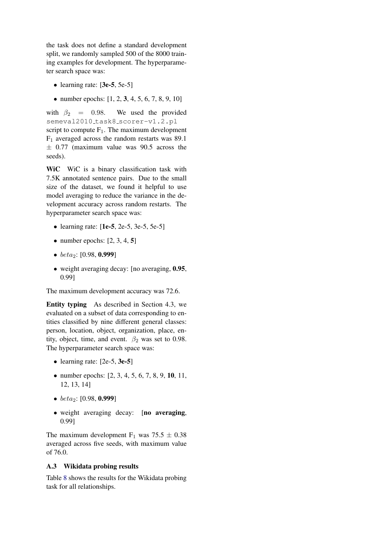the task does not define a standard development split, we randomly sampled 500 of the 8000 training examples for development. The hyperparameter search space was:

- learning rate:  $[3e-5, 5e-5]$
- number epochs: [1, 2, 3, 4, 5, 6, 7, 8, 9, 10]

with  $\beta_2 = 0.98$ . We used the provided semeval2010\_task8\_scorer-v1.2.pl script to compute  $F_1$ . The maximum development  $F_1$  averaged across the random restarts was 89.1  $\pm$  0.77 (maximum value was 90.5 across the seeds).

WiC WiC is a binary classification task with 7.5K annotated sentence pairs. Due to the small size of the dataset, we found it helpful to use model averaging to reduce the variance in the development accuracy across random restarts. The hyperparameter search space was:

- learning rate:  $[1e-5, 2e-5, 3e-5, 5e-5]$
- number epochs:  $[2, 3, 4, 5]$
- $beta_2$ : [0.98, 0.999]
- weight averaging decay: [no averaging, 0.95, 0.99]

The maximum development accuracy was 72.6.

Entity typing As described in Section 4.3, we evaluated on a subset of data corresponding to entities classified by nine different general classes: person, location, object, organization, place, entity, object, time, and event.  $\beta_2$  was set to 0.98. The hyperparameter search space was:

- learning rate:  $[2e-5, 3e-5]$
- number epochs:  $[2, 3, 4, 5, 6, 7, 8, 9, 10, 11,$ 12, 13, 14]
- $beta_2$ : [0.98, 0.999]
- weight averaging decay: [no averaging, 0.99]

The maximum development  $F_1$  was 75.5  $\pm$  0.38 averaged across five seeds, with maximum value of 76.0.

# A.3 Wikidata probing results

Table [8](#page-13-0) shows the results for the Wikidata probing task for all relationships.